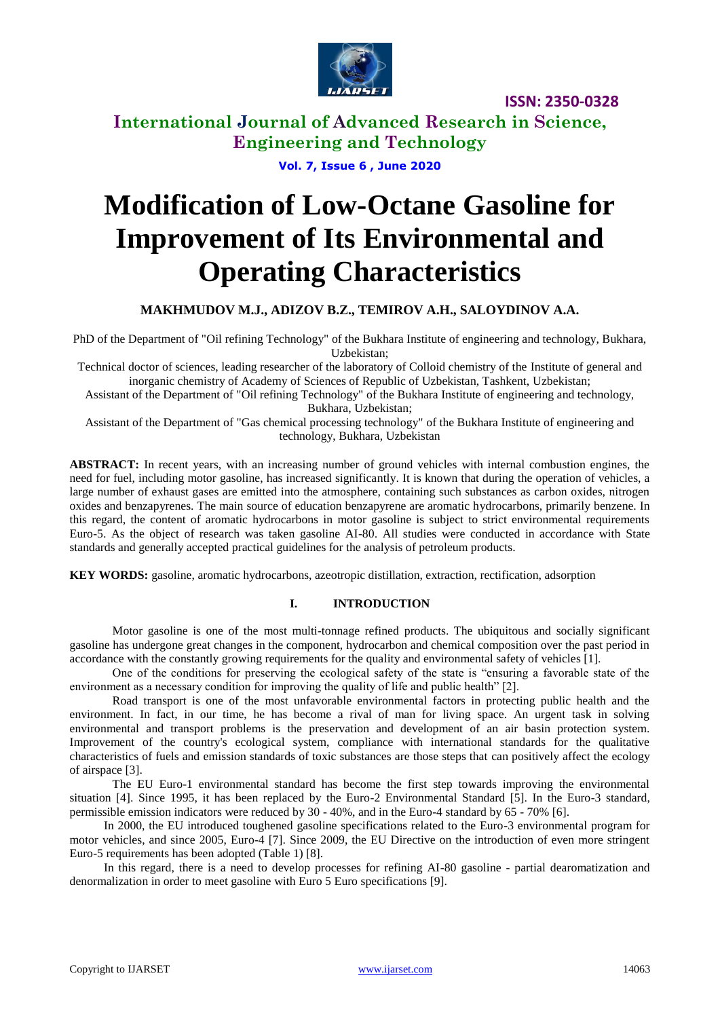

**International Journal of Advanced Research in Science, Engineering and Technology**

**Vol. 7, Issue 6 , June 2020**

# **Modification of Low-Octane Gasoline for Improvement of Its Environmental and Operating Characteristics**

### **MAKHMUDOV M.J., ADIZOV B.Z., TEMIROV A.H., SALOYDINOV A.A.**

PhD of the Department of "Oil refining Technology" of the Bukhara Institute of engineering and technology, Bukhara, Uzbekistan;

Technical doctor of sciences, leading researcher of the laboratory of Colloid chemistry of the Institute of general and inorganic chemistry of Academy of Sciences of Republic of Uzbekistan, Tashkent, Uzbekistan;

Assistant of the Department of "Oil refining Technology" of the Bukhara Institute of engineering and technology, Bukhara, Uzbekistan;

Assistant of the Department of "Gas chemical processing technology" of the Bukhara Institute of engineering and technology, Bukhara, Uzbekistan

**ABSTRACT:** In recent years, with an increasing number of ground vehicles with internal combustion engines, the need for fuel, including motor gasoline, has increased significantly. It is known that during the operation of vehicles, a large number of exhaust gases are emitted into the atmosphere, containing such substances as carbon oxides, nitrogen oxides and benzapyrenes. The main source of education benzapyrene are aromatic hydrocarbons, primarily benzene. In this regard, the content of aromatic hydrocarbons in motor gasoline is subject to strict environmental requirements Euro-5. As the object of research was taken gasoline AI-80. All studies were conducted in accordance with State standards and generally accepted practical guidelines for the analysis of petroleum products.

**KEY WORDS:** gasoline, aromatic hydrocarbons, azeotropic distillation, extraction, rectification, adsorption

#### **I. INTRODUCTION**

Motor gasoline is one of the most multi-tonnage refined products. The ubiquitous and socially significant gasoline has undergone great changes in the component, hydrocarbon and chemical composition over the past period in accordance with the constantly growing requirements for the quality and environmental safety of vehicles [1].

One of the conditions for preserving the ecological safety of the state is "ensuring a favorable state of the environment as a necessary condition for improving the quality of life and public health" [2].

Road transport is one of the most unfavorable environmental factors in protecting public health and the environment. In fact, in our time, he has become a rival of man for living space. An urgent task in solving environmental and transport problems is the preservation and development of an air basin protection system. Improvement of the country's ecological system, compliance with international standards for the qualitative characteristics of fuels and emission standards of toxic substances are those steps that can positively affect the ecology of airspace [3].

The EU Euro-1 environmental standard has become the first step towards improving the environmental situation [4]. Since 1995, it has been replaced by the Euro-2 Environmental Standard [5]. In the Euro-3 standard, permissible emission indicators were reduced by 30 - 40%, and in the Euro-4 standard by 65 - 70% [6].

In 2000, the EU introduced toughened gasoline specifications related to the Euro-3 environmental program for motor vehicles, and since 2005, Euro-4 [7]. Since 2009, the EU Directive on the introduction of even more stringent Euro-5 requirements has been adopted (Table 1) [8].

In this regard, there is a need to develop processes for refining AI-80 gasoline - partial dearomatization and denormalization in order to meet gasoline with Euro 5 Euro specifications [9].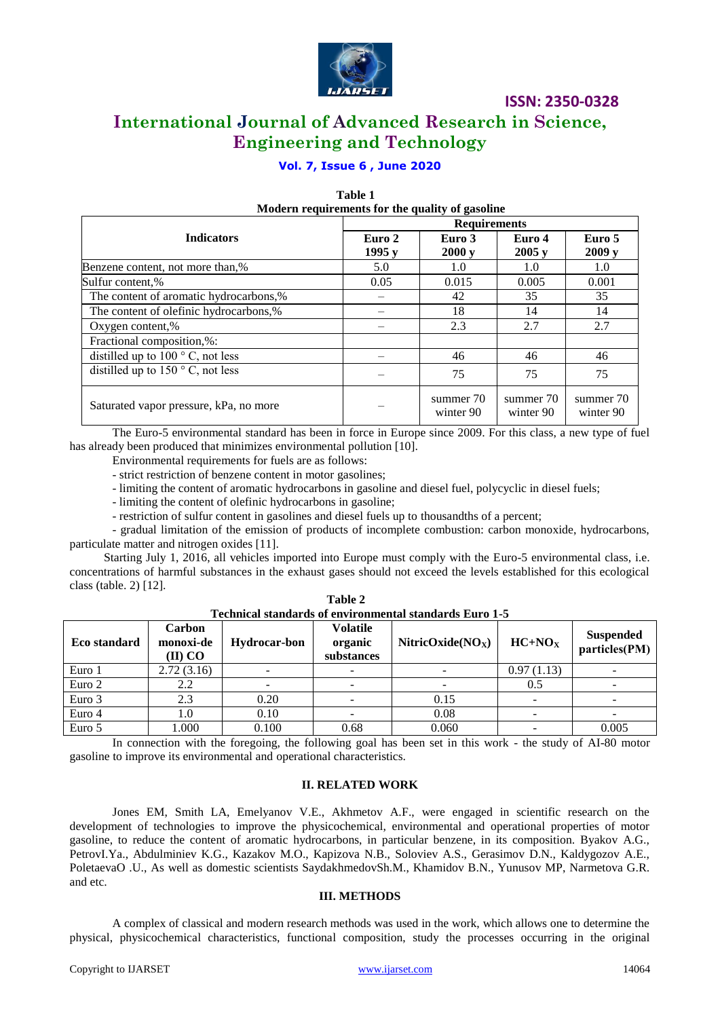

# **International Journal of Advanced Research in Science, Engineering and Technology**

### **Vol. 7, Issue 6 , June 2020**

 **Table 1**

| Modern requirements for the quality of gasoline |                     |                        |                        |                        |  |  |  |
|-------------------------------------------------|---------------------|------------------------|------------------------|------------------------|--|--|--|
|                                                 | <b>Requirements</b> |                        |                        |                        |  |  |  |
| <b>Indicators</b>                               | Euro 2<br>1995y     | Euro 3<br>2000y        | Euro 4<br>2005y        | Euro 5<br>2009y        |  |  |  |
| Benzene content, not more than,%                | 5.0                 | 1.0                    | 1.0                    | 1.0                    |  |  |  |
| Sulfur content,%                                | 0.05                | 0.015                  | 0.005                  | 0.001                  |  |  |  |
| The content of aromatic hydrocarbons,%          |                     | 42                     | 35                     | 35                     |  |  |  |
| The content of olefinic hydrocarbons,%          |                     | 18                     | 14                     | 14                     |  |  |  |
| Oxygen content,%                                |                     | 2.3                    | 2.7                    | 2.7                    |  |  |  |
| Fractional composition,%:                       |                     |                        |                        |                        |  |  |  |
| distilled up to $100^{\circ}$ C, not less       |                     | 46                     | 46                     | 46                     |  |  |  |
| distilled up to $150^{\circ}$ C, not less       |                     | 75                     | 75                     | 75                     |  |  |  |
| Saturated vapor pressure, kPa, no more          |                     | summer 70<br>winter 90 | summer 70<br>winter 90 | summer 70<br>winter 90 |  |  |  |

The Euro-5 environmental standard has been in force in Europe since 2009. For this class, a new type of fuel has already been produced that minimizes environmental pollution [10].

Environmental requirements for fuels are as follows:

- strict restriction of benzene content in motor gasolines;

- limiting the content of aromatic hydrocarbons in gasoline and diesel fuel, polycyclic in diesel fuels;

- limiting the content of olefinic hydrocarbons in gasoline;

- restriction of sulfur content in gasolines and diesel fuels up to thousandths of a percent;

- gradual limitation of the emission of products of incomplete combustion: carbon monoxide, hydrocarbons, particulate matter and nitrogen oxides [11].

Starting July 1, 2016, all vehicles imported into Europe must comply with the Euro-5 environmental class, i.e. concentrations of harmful substances in the exhaust gases should not exceed the levels established for this ecological class (table. 2) [12].

| Technical standards of environmental standards Euro 1-5 |                                |                     |                                          |                      |            |                                   |
|---------------------------------------------------------|--------------------------------|---------------------|------------------------------------------|----------------------|------------|-----------------------------------|
| Eco standard                                            | Carbon<br>monoxi-de<br>(II) CO | <b>Hydrocar-bon</b> | <b>Volatile</b><br>organic<br>substances | NitricOxide( $NOx$ ) | $HC+NOx$   | <b>Suspended</b><br>particles(PM) |
| Euro 1                                                  | 2.72(3.16)                     |                     |                                          |                      | 0.97(1.13) |                                   |
| Euro 2                                                  | 2.2                            |                     |                                          |                      | 0.5        |                                   |
| Euro 3                                                  | 2.3                            | 0.20                | ۰.                                       | 0.15                 |            |                                   |
| Euro 4                                                  | 1.0                            | 0.10                |                                          | 0.08                 |            |                                   |
| Euro 5                                                  | 1.000                          | 0.100               | 0.68                                     | 0.060                |            | 0.005                             |

 **Table 2**

In connection with the foregoing, the following goal has been set in this work - the study of AI-80 motor gasoline to improve its environmental and operational characteristics.

#### **II. RELATED WORK**

Jones EM, Smith LA, Emelyanov V.E., Akhmetov A.F., were engaged in scientific research on the development of technologies to improve the physicochemical, environmental and operational properties of motor gasoline, to reduce the content of aromatic hydrocarbons, in particular benzene, in its composition. Byakov A.G., PetrovI.Ya., Abdulminiev K.G., Kazakov M.O., Kapizova N.B., Soloviev A.S., Gerasimov D.N., Kaldygozov A.E., PoletaevaO .U., As well as domestic scientists SaydakhmedovSh.M., Khamidov B.N., Yunusov MP, Narmetova G.R. and etc.

#### **III. METHODS**

A complex of classical and modern research methods was used in the work, which allows one to determine the physical, physicochemical characteristics, functional composition, study the processes occurring in the original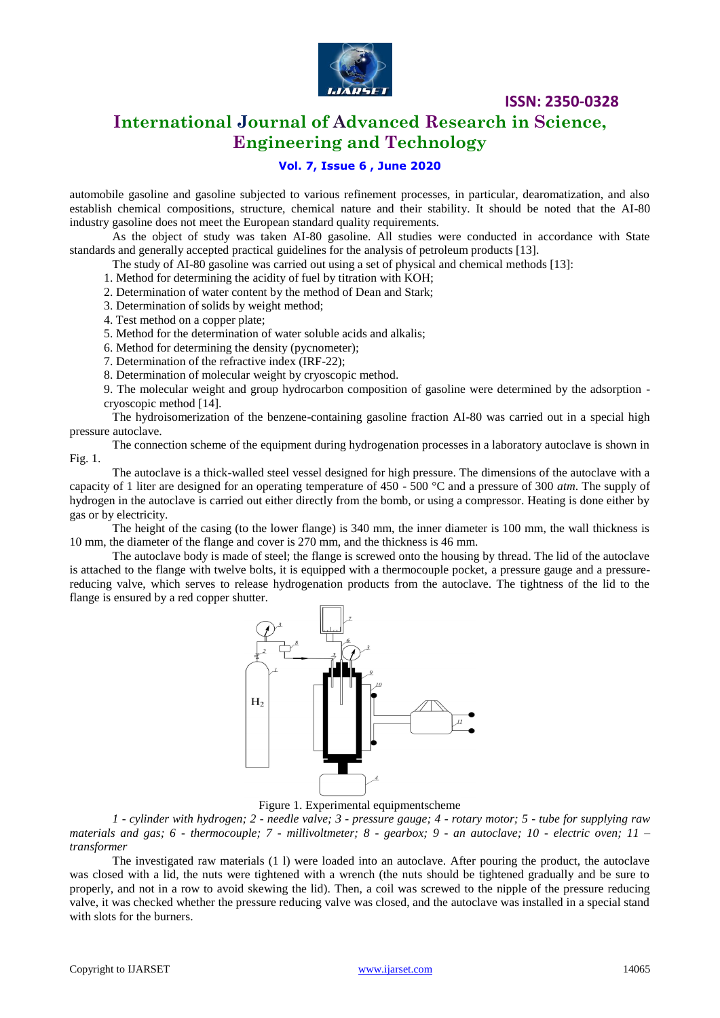

# **International Journal of Advanced Research in Science, Engineering and Technology**

### **Vol. 7, Issue 6 , June 2020**

automobile gasoline and gasoline subjected to various refinement processes, in particular, dearomatization, and also establish chemical compositions, structure, chemical nature and their stability. It should be noted that the AI-80 industry gasoline does not meet the European standard quality requirements.

As the object of study was taken AI-80 gasoline. All studies were conducted in accordance with State standards and generally accepted practical guidelines for the analysis of petroleum products [13].

The study of AI-80 gasoline was carried out using a set of physical and chemical methods [13]:

- 1. Method for determining the acidity of fuel by titration with KOH;
- 2. Determination of water content by the method of Dean and Stark;
- 3. Determination of solids by weight method;
- 4. Test method on a copper plate;
- 5. Method for the determination of water soluble acids and alkalis;
- 6. Method for determining the density (pycnometer);
- 7. Determination of the refractive index (IRF-22);
- 8. Determination of molecular weight by cryoscopic method.

9. The molecular weight and group hydrocarbon composition of gasoline were determined by the adsorption cryoscopic method [14].

The hydroisomerization of the benzene-containing gasoline fraction AI-80 was carried out in a special high pressure autoclave.

The connection scheme of the equipment during hydrogenation processes in a laboratory autoclave is shown in Fig. 1.

The autoclave is a thick-walled steel vessel designed for high pressure. The dimensions of the autoclave with a capacity of 1 liter are designed for an operating temperature of 450 - 500 °C and a pressure of 300 *atm*. The supply of hydrogen in the autoclave is carried out either directly from the bomb, or using a compressor. Heating is done either by gas or by electricity.

The height of the casing (to the lower flange) is 340 mm, the inner diameter is 100 mm, the wall thickness is 10 mm, the diameter of the flange and cover is 270 mm, and the thickness is 46 mm.

The autoclave body is made of steel; the flange is screwed onto the housing by thread. The lid of the autoclave is attached to the flange with twelve bolts, it is equipped with a thermocouple pocket, a pressure gauge and a pressurereducing valve, which serves to release hydrogenation products from the autoclave. The tightness of the lid to the flange is ensured by a red copper shutter.



Figure 1. Experimental equipmentscheme

*1 - cylinder with hydrogen; 2 - needle valve; 3 - pressure gauge; 4 - rotary motor; 5 - tube for supplying raw materials and gas; 6 - thermocouple; 7 - millivoltmeter; 8 - gearbox; 9 - an autoclave; 10 - electric oven; 11 – transformer*

The investigated raw materials (1 l) were loaded into an autoclave. After pouring the product, the autoclave was closed with a lid, the nuts were tightened with a wrench (the nuts should be tightened gradually and be sure to properly, and not in a row to avoid skewing the lid). Then, a coil was screwed to the nipple of the pressure reducing valve, it was checked whether the pressure reducing valve was closed, and the autoclave was installed in a special stand with slots for the burners.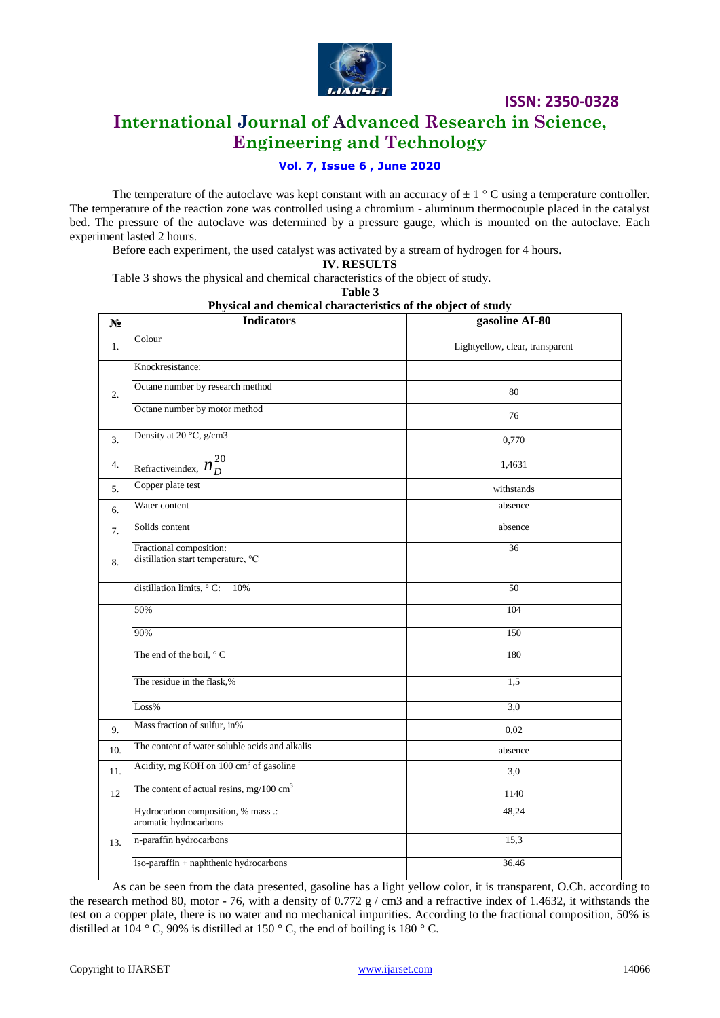

# **International Journal of Advanced Research in Science, Engineering and Technology**

### **Vol. 7, Issue 6 , June 2020**

The temperature of the autoclave was kept constant with an accuracy of  $\pm 1$  ° C using a temperature controller. The temperature of the reaction zone was controlled using a chromium - aluminum thermocouple placed in the catalyst bed. The pressure of the autoclave was determined by a pressure gauge, which is mounted on the autoclave. Each experiment lasted 2 hours.

Before each experiment, the used catalyst was activated by a stream of hydrogen for 4 hours.

**IV. RESULTS**

Table 3 shows the physical and chemical characteristics of the object of study.

**Table 3**

| Physical and chemical characteristics of the object of study |  |  |  |
|--------------------------------------------------------------|--|--|--|
|--------------------------------------------------------------|--|--|--|

| N <sub>2</sub>   | <b>Indicators</b>                                             | gasoline AI-80                  |
|------------------|---------------------------------------------------------------|---------------------------------|
| 1.               | Colour                                                        | Lightyellow, clear, transparent |
|                  | Knockresistance:                                              |                                 |
| $\overline{2}$ . | Octane number by research method                              | 80                              |
|                  | Octane number by motor method                                 | 76                              |
| 3.               | Density at 20 °C, g/cm3                                       | 0,770                           |
| 4.               | Refractive<br>index, $n_D^{20}$                               | 1,4631                          |
| 5.               | Copper plate test                                             | withstands                      |
| 6.               | Water content                                                 | absence                         |
| 7.               | Solids content                                                | absence                         |
| 8.               | Fractional composition:<br>distillation start temperature, °C | 36                              |
|                  | distillation limits, $\circ$ C:<br>10%                        | 50                              |
|                  | 50%                                                           | 104                             |
|                  | 90%                                                           | 150                             |
|                  | The end of the boil, $\degree$ C                              | 180                             |
|                  | The residue in the flask,%                                    | 1,5                             |
|                  | Loss%                                                         | 3,0                             |
| 9.               | Mass fraction of sulfur, in%                                  | 0,02                            |
| 10.              | The content of water soluble acids and alkalis                | absence                         |
| 11.              | Acidity, mg KOH on 100 cm <sup>3</sup> of gasoline            | 3,0                             |
| 12               | The content of actual resins, mg/100 $\text{cm}^3$            | 1140                            |
|                  | Hydrocarbon composition, % mass .:<br>aromatic hydrocarbons   | 48,24                           |
| 13.              | n-paraffin hydrocarbons                                       | 15,3                            |
|                  | iso-paraffin + naphthenic hydrocarbons                        | 36,46                           |

As can be seen from the data presented, gasoline has a light yellow color, it is transparent, O.Ch. according to the research method 80, motor - 76, with a density of 0.772 g / cm3 and a refractive index of 1.4632, it withstands the test on a copper plate, there is no water and no mechanical impurities. According to the fractional composition, 50% is distilled at 104 ° C, 90% is distilled at 150 ° C, the end of boiling is 180 ° C.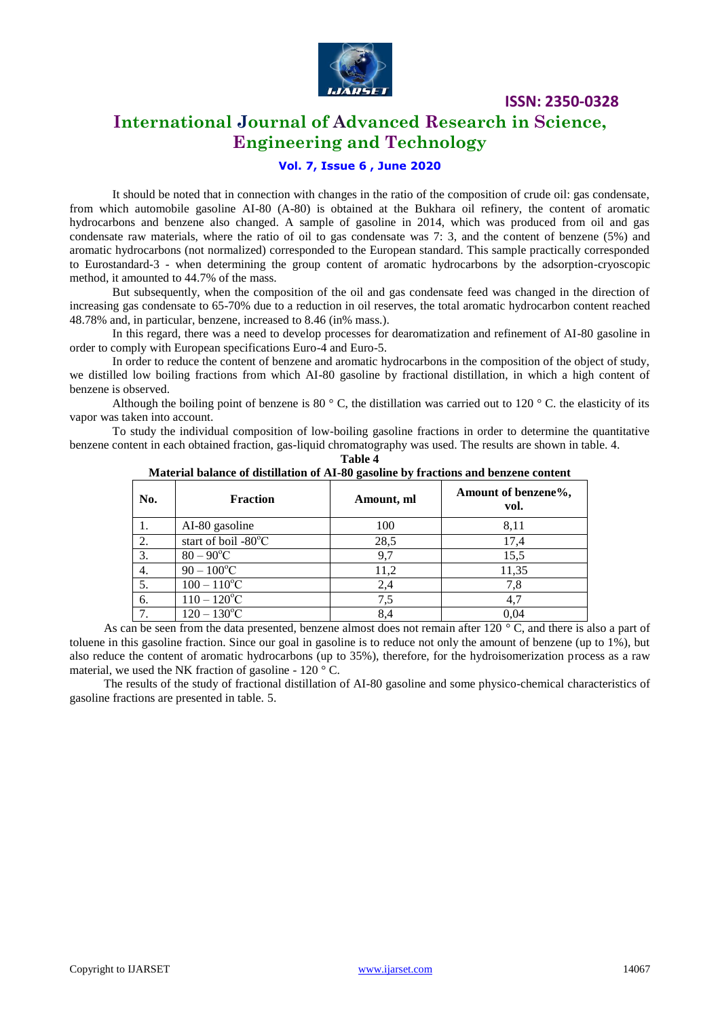

## **International Journal of Advanced Research in Science, Engineering and Technology**

### **Vol. 7, Issue 6 , June 2020**

It should be noted that in connection with changes in the ratio of the composition of crude oil: gas condensate, from which automobile gasoline AI-80 (A-80) is obtained at the Bukhara oil refinery, the content of aromatic hydrocarbons and benzene also changed. A sample of gasoline in 2014, which was produced from oil and gas condensate raw materials, where the ratio of oil to gas condensate was 7: 3, and the content of benzene (5%) and aromatic hydrocarbons (not normalized) corresponded to the European standard. This sample practically corresponded to Eurostandard-3 - when determining the group content of aromatic hydrocarbons by the adsorption-cryoscopic method, it amounted to 44.7% of the mass.

But subsequently, when the composition of the oil and gas condensate feed was changed in the direction of increasing gas condensate to 65-70% due to a reduction in oil reserves, the total aromatic hydrocarbon content reached 48.78% and, in particular, benzene, increased to 8.46 (in% mass.).

In this regard, there was a need to develop processes for dearomatization and refinement of AI-80 gasoline in order to comply with European specifications Euro-4 and Euro-5.

In order to reduce the content of benzene and aromatic hydrocarbons in the composition of the object of study, we distilled low boiling fractions from which AI-80 gasoline by fractional distillation, in which a high content of benzene is observed.

Although the boiling point of benzene is 80  $\degree$  C, the distillation was carried out to 120  $\degree$  C. the elasticity of its vapor was taken into account.

To study the individual composition of low-boiling gasoline fractions in order to determine the quantitative benzene content in each obtained fraction, gas-liquid chromatography was used. The results are shown in table. 4.

| No. | <u> 11 iliyyadda o mimirt ol miotiithticii ci 112 co gaboliilt o'g iltheticib milw o'tiibtir toilittir</u><br><b>Fraction</b> | Amount, ml | Amount of benzene%,<br>vol. |
|-----|-------------------------------------------------------------------------------------------------------------------------------|------------|-----------------------------|
|     | AI-80 gasoline                                                                                                                | 100        | 8,11                        |
| 2.  | start of boil - $80^{\circ}$ C                                                                                                | 28,5       | 17,4                        |
| 3.  | $80 - 90^{\circ}C$                                                                                                            | 9,7        | 15,5                        |
| 4.  | $90 - 100$ °C                                                                                                                 | 11,2       | 11,35                       |
| 5.  | $100 - 110$ <sup>o</sup> C                                                                                                    | 2,4        | 7,8                         |
| 6.  | $110 - 120$ <sup>o</sup> C                                                                                                    | 7,5        | 4,7                         |
| 7.  | $120 - 130$ °C                                                                                                                | 8,4        | 0.04                        |

**Table 4 Material balance of distillation of AI-80 gasoline by fractions and benzene content**

As can be seen from the data presented, benzene almost does not remain after 120 °C, and there is also a part of toluene in this gasoline fraction. Since our goal in gasoline is to reduce not only the amount of benzene (up to 1%), but also reduce the content of aromatic hydrocarbons (up to 35%), therefore, for the hydroisomerization process as a raw material, we used the NK fraction of gasoline -  $120^{\circ}$ C.

The results of the study of fractional distillation of AI-80 gasoline and some physico-chemical characteristics of gasoline fractions are presented in table. 5.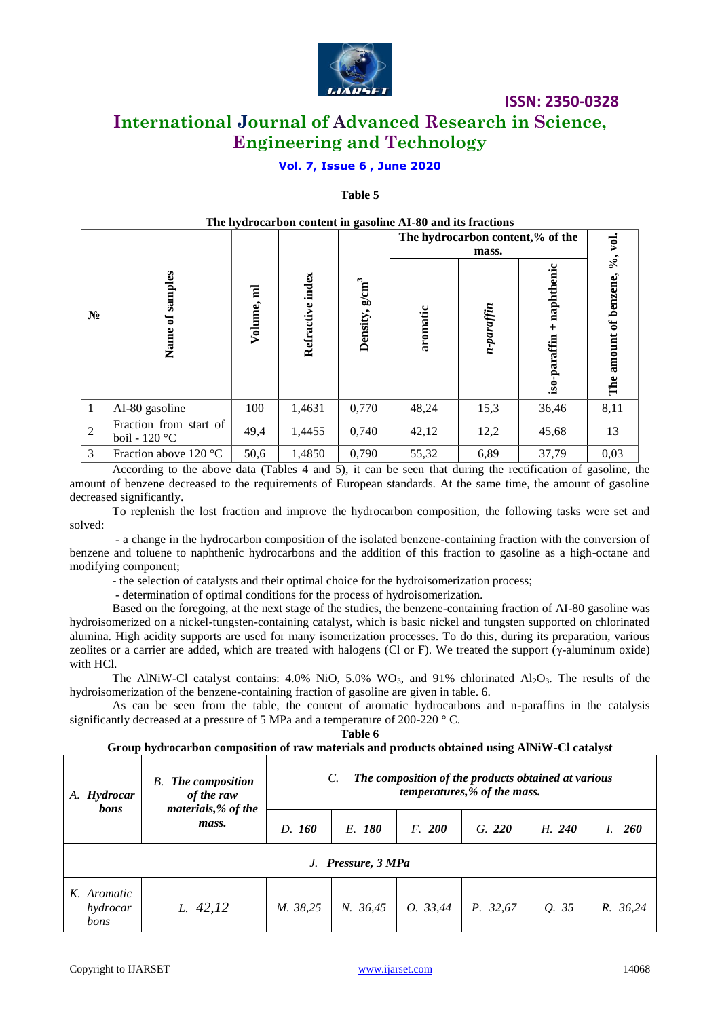

# **International Journal of Advanced Research in Science, Engineering and Technology**

### **Vol. 7, Issue 6 , June 2020**

#### **Table 5**

|                |                                           |                                    |                  |                            | The hydrocarbon content in gasoline AI-80 and its fractions |                                  |                                 |                                 |
|----------------|-------------------------------------------|------------------------------------|------------------|----------------------------|-------------------------------------------------------------|----------------------------------|---------------------------------|---------------------------------|
|                |                                           |                                    |                  |                            |                                                             | The hydrocarbon content,% of the | vol.                            |                                 |
| $N_2$          | Name of samples                           | $\overline{\mathbf{a}}$<br>Volume, | Refractive index | Density, g/cm <sup>3</sup> | aromatic                                                    | n-paraffin                       | enic<br>naphthe<br>iso-paraffin | %,<br>benzene,<br>The amount of |
| 1              | AI-80 gasoline                            | 100                                | 1,4631           | 0,770                      | 48,24                                                       | 15,3                             | 36,46                           | 8,11                            |
| $\overline{2}$ | Fraction from start of<br>boil - $120 °C$ | 49,4                               | 1,4455           | 0,740                      | 42,12                                                       | 12,2                             | 45,68                           | 13                              |
| 3              | Fraction above $120^{\circ}$ C            | 50,6                               | 1,4850           | 0,790                      | 55,32                                                       | 6,89                             | 37,79                           | 0,03                            |

According to the above data (Tables 4 and 5), it can be seen that during the rectification of gasoline, the amount of benzene decreased to the requirements of European standards. At the same time, the amount of gasoline decreased significantly.

To replenish the lost fraction and improve the hydrocarbon composition, the following tasks were set and solved:

- a change in the hydrocarbon composition of the isolated benzene-containing fraction with the conversion of benzene and toluene to naphthenic hydrocarbons and the addition of this fraction to gasoline as a high-octane and modifying component;

- the selection of catalysts and their optimal choice for the hydroisomerization process;

- determination of optimal conditions for the process of hydroisomerization.

Based on the foregoing, at the next stage of the studies, the benzene-containing fraction of AI-80 gasoline was hydroisomerized on a nickel-tungsten-containing catalyst, which is basic nickel and tungsten supported on chlorinated alumina. High acidity supports are used for many isomerization processes. To do this, during its preparation, various zeolites or a carrier are added, which are treated with halogens (Cl or F). We treated the support ( $\gamma$ -aluminum oxide) with HCl.

The AlNiW-Cl catalyst contains:  $4.0\%$  NiO,  $5.0\%$  WO<sub>3</sub>, and 91% chlorinated Al<sub>2</sub>O<sub>3</sub>. The results of the hydroisomerization of the benzene-containing fraction of gasoline are given in table. 6.

As can be seen from the table, the content of aromatic hydrocarbons and n-paraffins in the catalysis significantly decreased at a pressure of 5 MPa and a temperature of 200-220 ° C.

**Table 6**

**Group hydrocarbon composition of raw materials and products obtained using AlNiW-Cl catalyst**

| <b>B.</b> The composition<br>of the raw<br>A. Hydrocar |                              | The composition of the products obtained at various<br>C.<br>temperatures,% of the mass. |          |          |          |        |            |
|--------------------------------------------------------|------------------------------|------------------------------------------------------------------------------------------|----------|----------|----------|--------|------------|
| bons                                                   | materials, % of the<br>mass. | D. 160                                                                                   | E. 180   | F. 200   | G. 220   | H. 240 | <b>260</b> |
| J. Pressure, 3 MPa                                     |                              |                                                                                          |          |          |          |        |            |
| K. Aromatic<br>hydrocar<br>bons                        | L. 42,12                     | M. 38,25                                                                                 | N. 36,45 | 0. 33,44 | P. 32,67 | Q. 35  | R. 36,24   |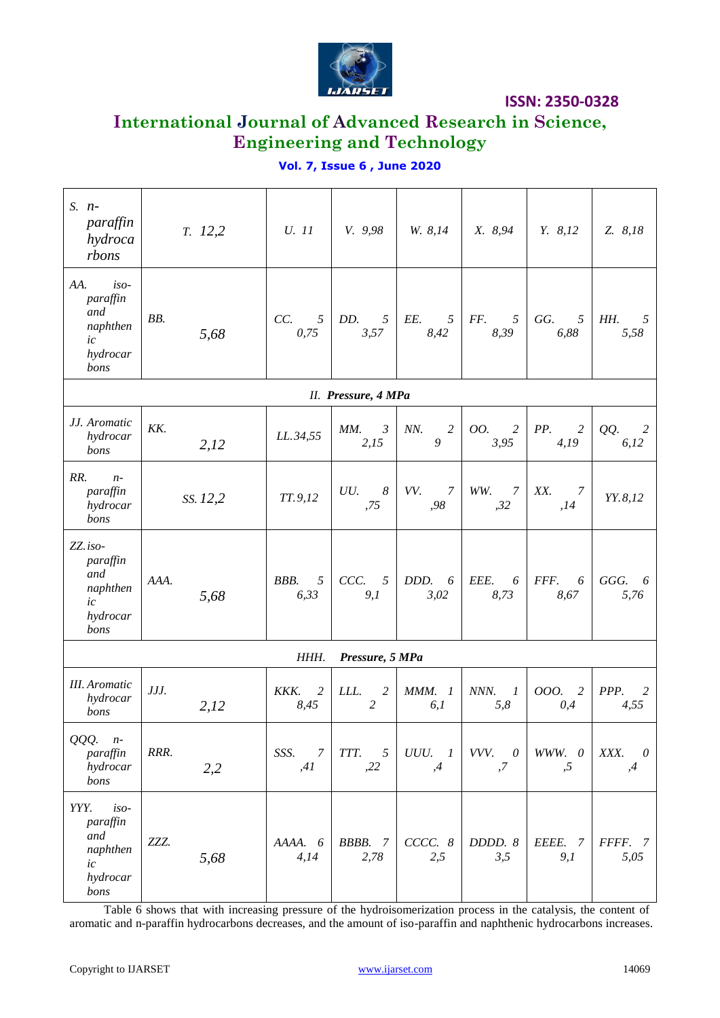

# **International Journal of Advanced Research in Science, Engineering and Technology**

### **Vol. 7, Issue 6 , June 2020**

| $S.$ $n-$<br>paraffin<br>hydroca<br>rbons                               | T. 12,2      | U. 11                          | V. 9,98                             | W. 8,14                        | X. 8,94                         | Y. 8, 12                      | Z. 8,18                |
|-------------------------------------------------------------------------|--------------|--------------------------------|-------------------------------------|--------------------------------|---------------------------------|-------------------------------|------------------------|
| AA.<br>$iso-$<br>paraffin<br>and<br>naphthen<br>ic<br>hydrocar<br>bons  | BB.<br>5,68  | CC.<br>5 <sup>5</sup><br>0,75  | DD.<br>5 <sup>5</sup><br>3,57       | EE.<br>$5\overline{)}$<br>8,42 | $\mathfrak{I}$<br>FF.<br>8,39   | GG.<br>5<br>6,88              | HH.<br>5<br>5,58       |
|                                                                         |              |                                | II. Pressure, 4 MPa                 |                                |                                 |                               |                        |
| JJ. Aromatic<br>hydrocar<br>bons                                        | KK.<br>2,12  | LL.34,55                       | $MM$ .<br>$\mathfrak{Z}$<br>2,15    | NN.<br>2<br>9                  | $\overline{c}$<br>00.<br>3,95   | PP.<br>$\overline{c}$<br>4,19 | QQ.<br>2<br>6,12       |
| RR.<br>$n-$<br>paraffin<br>hydrocar<br>bons                             | SS. 12,2     | TT.9,12                        | UU.<br>$\boldsymbol{\delta}$<br>,75 | VV.<br>$\overline{7}$<br>,98   | WW.<br>7<br>,32                 | XX.<br>7<br>, 14              | YY.8,12                |
| ZZ.iso-<br>paraffin<br>and<br>naphthen<br>ic<br>hydrocar<br>bons        | AAA.<br>5,68 | BBB.<br>$\mathfrak{I}$<br>6,33 | CCC. 5<br>9,1                       | DDD. 6<br>3,02                 | EEE.<br>6<br>8,73               | FFF.<br>6<br>8,67             | GGG.<br>- 6<br>5,76    |
|                                                                         |              | HHH.                           | Pressure, 5 MPa                     |                                |                                 |                               |                        |
| <b>III.</b> Aromatic<br>hydrocar<br>bons                                | JJJ.<br>2,12 | KKK.<br>2<br>8,45              | LLL.<br>2<br>$\overline{c}$         | <b>MMM.</b> 1<br>6,1           | NNN.<br>$\boldsymbol{l}$<br>5,8 | 000.<br>2<br>0,4              | PPP.<br>2<br>4,55      |
| QQQ. n-<br>paraffin<br>hydrocar<br>bons                                 | RRR.<br>2,2  | SSS.<br>$\overline{7}$<br>,41  | TTT. 5<br>,22                       | $UUU.$ 1<br>,4                 | VVV. 0<br>,7                    | WWW. 0<br>,5                  | XXX.<br>$\theta$<br>,4 |
| $iso-$<br>YYY.<br>paraffin<br>and<br>naphthen<br>ic<br>hydrocar<br>bons | ZZZ.<br>5,68 | AAAA. 6<br>4,14                | BBBB. 7<br>2,78                     | CCCC. 8<br>2,5                 | DDDD. 8<br>3,5                  | EEEE. 7<br>9,1                | FFFF. 7<br>5,05        |

Table 6 shows that with increasing pressure of the hydroisomerization process in the catalysis, the content of aromatic and n-paraffin hydrocarbons decreases, and the amount of iso-paraffin and naphthenic hydrocarbons increases.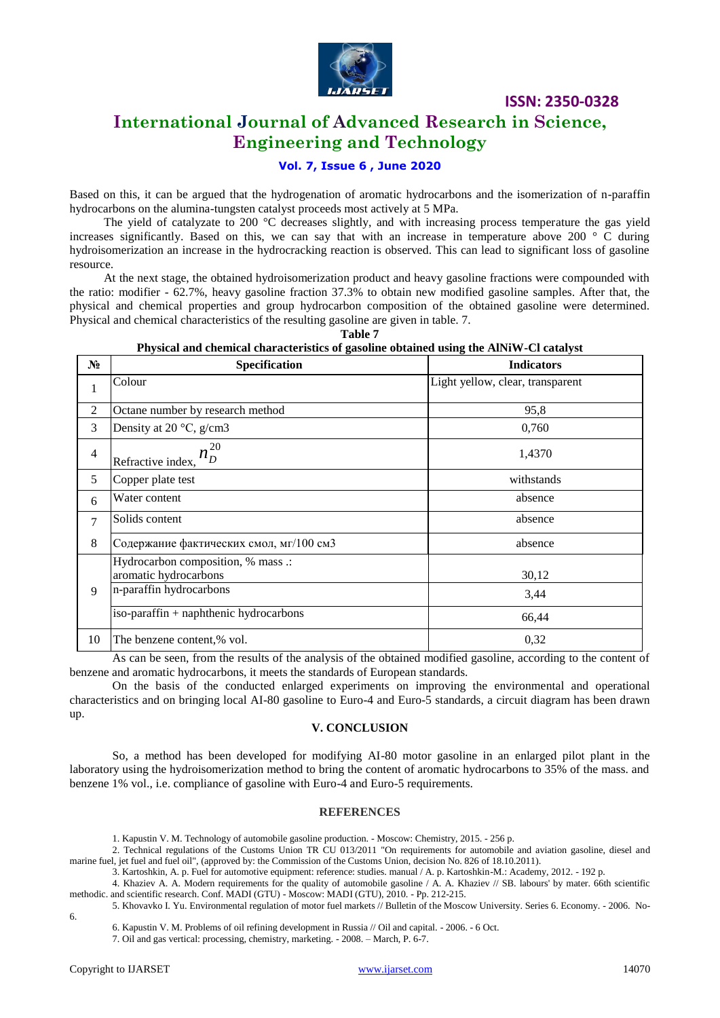

# **International Journal of Advanced Research in Science, Engineering and Technology**

### **Vol. 7, Issue 6 , June 2020**

Based on this, it can be argued that the hydrogenation of aromatic hydrocarbons and the isomerization of n-paraffin hydrocarbons on the alumina-tungsten catalyst proceeds most actively at 5 MPa.

The yield of catalyzate to 200 °C decreases slightly, and with increasing process temperature the gas yield increases significantly. Based on this, we can say that with an increase in temperature above 200  $\degree$  C during hydroisomerization an increase in the hydrocracking reaction is observed. This can lead to significant loss of gasoline resource.

At the next stage, the obtained hydroisomerization product and heavy gasoline fractions were compounded with the ratio: modifier - 62.7%, heavy gasoline fraction 37.3% to obtain new modified gasoline samples. After that, the physical and chemical properties and group hydrocarbon composition of the obtained gasoline were determined. Physical and chemical characteristics of the resulting gasoline are given in table. 7.

| $N_2$                    | T hysical and chemical enaracteristics of gasoline obtained using the All W +Cl catalyst<br>Specification | <b>Indicators</b>                |
|--------------------------|-----------------------------------------------------------------------------------------------------------|----------------------------------|
| $\,1\,$                  | Colour                                                                                                    | Light yellow, clear, transparent |
| $\overline{c}$           | Octane number by research method                                                                          | 95,8                             |
| 3                        | Density at 20 $\degree$ C, g/cm3                                                                          | 0,760                            |
| $\overline{\mathcal{A}}$ | 20<br>Refractive index,                                                                                   | 1,4370                           |
| 5                        | Copper plate test                                                                                         | withstands                       |
| 6                        | Water content                                                                                             | absence                          |
| $\tau$                   | Solids content                                                                                            | absence                          |
| 8                        | Содержание фактических смол, мг/100 см3                                                                   | absence                          |
|                          | Hydrocarbon composition, % mass .:<br>aromatic hydrocarbons                                               | 30,12                            |
| 9                        | n-paraffin hydrocarbons                                                                                   | 3,44                             |
|                          | iso-paraffin + naphthenic hydrocarbons                                                                    | 66,44                            |
| 10                       | The benzene content,% vol.                                                                                | 0,32                             |

#### **Table 7 Physical and chemical characteristics of gasoline obtained using the AlNiW-Cl catalyst**

As can be seen, from the results of the analysis of the obtained modified gasoline, according to the content of benzene and aromatic hydrocarbons, it meets the standards of European standards.

On the basis of the conducted enlarged experiments on improving the environmental and operational characteristics and on bringing local AI-80 gasoline to Euro-4 and Euro-5 standards, a circuit diagram has been drawn up.

#### **V. CONCLUSION**

So, a method has been developed for modifying AI-80 motor gasoline in an enlarged pilot plant in the laboratory using the hydroisomerization method to bring the content of aromatic hydrocarbons to 35% of the mass. and benzene 1% vol., i.e. compliance of gasoline with Euro-4 and Euro-5 requirements.

#### **REFERENCES**

1. Kapustin V. M. Technology of automobile gasoline production. - Moscow: Chemistry, 2015. - 256 p.

2. Technical regulations of the Customs Union TR CU 013/2011 "On requirements for automobile and aviation gasoline, diesel and marine fuel, jet fuel and fuel oil", (approved by: the Commission of the Customs Union, decision No. 826 of 18.10.2011).

3. Kartoshkin, A. p. Fuel for automotive equipment: reference: studies. manual / A. p. Kartoshkin-M.: Academy, 2012. - 192 p.

4. Khaziev A. A. Modern requirements for the quality of automobile gasoline / A. A. Khaziev // SB. labours' by mater. 66th scientific methodic. and scientific research. Conf. MADI (GTU) - Moscow: MADI (GTU), 2010. - Pp. 212-215.

5. Khovavko I. Yu. Environmental regulation of motor fuel markets // Bulletin of the Moscow University. Series 6. Economy. - 2006. No-6.

6. Kapustin V. M. Problems of oil refining development in Russia // Oil and capital. - 2006. - 6 Oct.

7. Oil and gas vertical: processing, chemistry, marketing. - 2008. – March, P. 6-7.